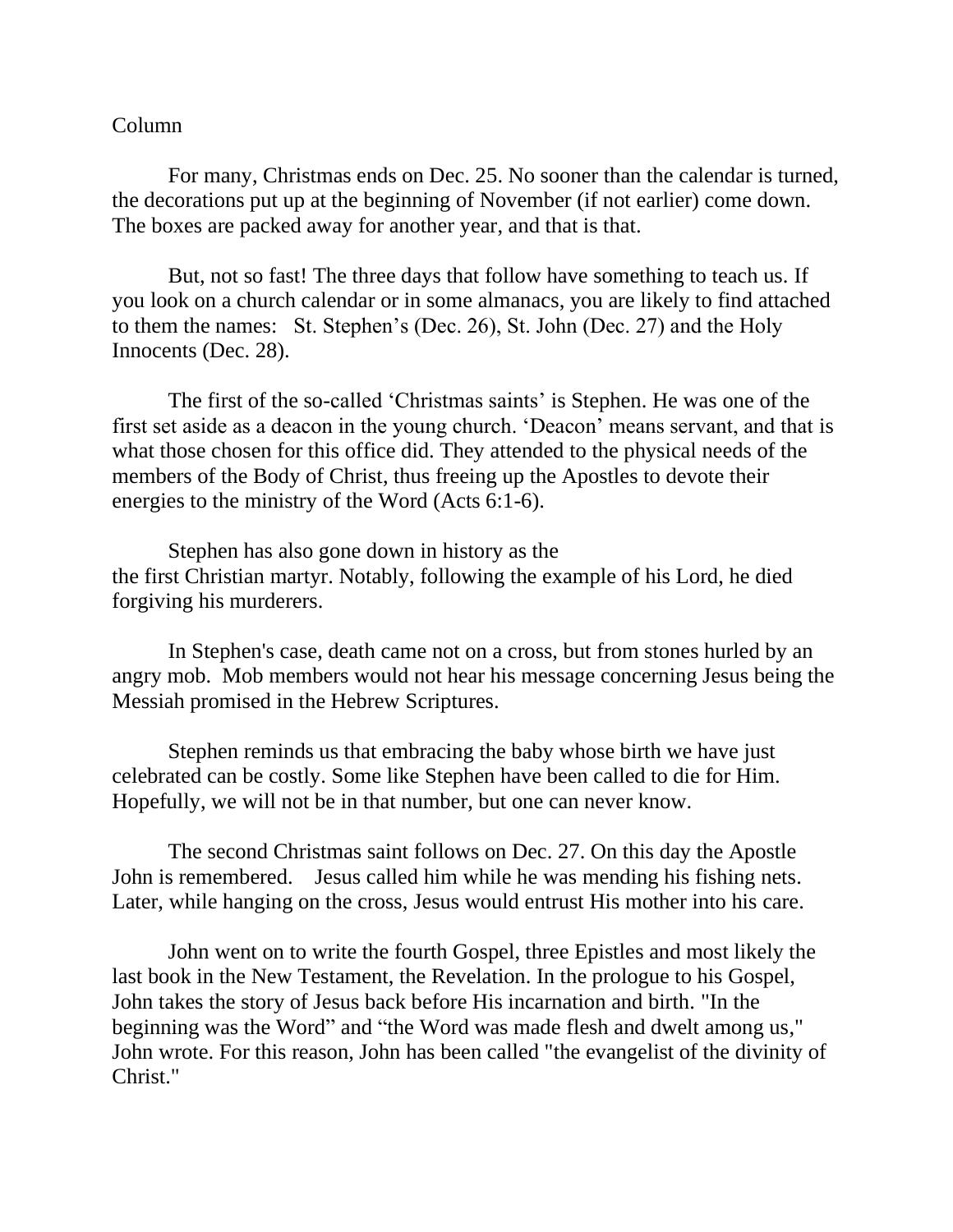## Column

For many, Christmas ends on Dec. 25. No sooner than the calendar is turned, the decorations put up at the beginning of November (if not earlier) come down. The boxes are packed away for another year, and that is that.

But, not so fast! The three days that follow have something to teach us. If you look on a church calendar or in some almanacs, you are likely to find attached to them the names: St. Stephen's (Dec. 26), St. John (Dec. 27) and the Holy Innocents (Dec. 28).

The first of the so-called 'Christmas saints' is Stephen. He was one of the first set aside as a deacon in the young church. 'Deacon' means servant, and that is what those chosen for this office did. They attended to the physical needs of the members of the Body of Christ, thus freeing up the Apostles to devote their energies to the ministry of the Word (Acts 6:1-6).

Stephen has also gone down in history as the the first Christian martyr. Notably, following the example of his Lord, he died forgiving his murderers.

In Stephen's case, death came not on a cross, but from stones hurled by an angry mob. Mob members would not hear his message concerning Jesus being the Messiah promised in the Hebrew Scriptures.

Stephen reminds us that embracing the baby whose birth we have just celebrated can be costly. Some like Stephen have been called to die for Him. Hopefully, we will not be in that number, but one can never know.

The second Christmas saint follows on Dec. 27. On this day the Apostle John is remembered. Jesus called him while he was mending his fishing nets. Later, while hanging on the cross, Jesus would entrust His mother into his care.

John went on to write the fourth Gospel, three Epistles and most likely the last book in the New Testament, the Revelation. In the prologue to his Gospel, John takes the story of Jesus back before His incarnation and birth. "In the beginning was the Word" and "the Word was made flesh and dwelt among us," John wrote. For this reason, John has been called "the evangelist of the divinity of Christ."